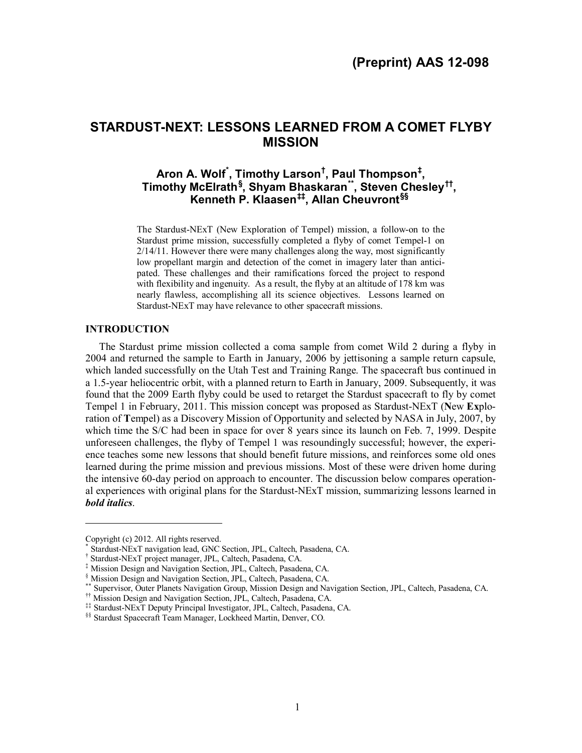# **STARDUST-NEXT: LESSONS LEARNED FROM A COMET FLYBY MISSION**

## **Aron A. Wolf[\\*](#page-0-0) , Timothy Larson[†](#page-0-1) , Paul Thompson[‡](#page-0-2) , Timothy McElrath[§](#page-0-3) , Shyam Bhaskaran[\\*\\*](#page-0-4), Steven Chesley[††,](#page-0-5) Kenneth P. Klaasen[‡‡](#page-0-6), Allan Cheuvront[§§](#page-0-7)**

The Stardust-NExT (New Exploration of Tempel) mission, a follow-on to the Stardust prime mission, successfully completed a flyby of comet Tempel-1 on 2/14/11. However there were many challenges along the way, most significantly low propellant margin and detection of the comet in imagery later than anticipated. These challenges and their ramifications forced the project to respond with flexibility and ingenuity. As a result, the flyby at an altitude of 178 km was nearly flawless, accomplishing all its science objectives. Lessons learned on Stardust-NExT may have relevance to other spacecraft missions.

## **INTRODUCTION**

The Stardust prime mission collected a coma sample from comet Wild 2 during a flyby in 2004 and returned the sample to Earth in January, 2006 by jettisoning a sample return capsule, which landed successfully on the Utah Test and Training Range. The spacecraft bus continued in a 1.5-year heliocentric orbit, with a planned return to Earth in January, 2009. Subsequently, it was found that the 2009 Earth flyby could be used to retarget the Stardust spacecraft to fly by comet Tempel 1 in February, 2011. This mission concept was proposed as Stardust-NExT (**N**ew **Ex**ploration of **T**empel) as a Discovery Mission of Opportunity and selected by NASA in July, 2007, by which time the S/C had been in space for over 8 years since its launch on Feb. 7, 1999. Despite unforeseen challenges, the flyby of Tempel 1 was resoundingly successful; however, the experience teaches some new lessons that should benefit future missions, and reinforces some old ones learned during the prime mission and previous missions. Most of these were driven home during the intensive 60-day period on approach to encounter. The discussion below compares operational experiences with original plans for the Stardust-NExT mission, summarizing lessons learned in *bold italics*.

 $\overline{a}$ 

<span id="page-0-0"></span>Copyright (c) 2012. All rights reserved. \* Stardust-NExT navigation lead, GNC Section, JPL, Caltech, Pasadena, CA.

<span id="page-0-1"></span><sup>†</sup> Stardust-NExT project manager, JPL, Caltech, Pasadena, CA.

<span id="page-0-3"></span><span id="page-0-2"></span><sup>‡</sup> Mission Design and Navigation Section, JPL, Caltech, Pasadena, CA.

Supervisor, Outer Planets Navigation Group, Mission Design and Navigation Section, JPL, Caltech, Pasadena, CA.

<span id="page-0-5"></span><span id="page-0-4"></span><sup>††</sup> Mission Design and Navigation Section, JPL, Caltech, Pasadena, CA.

<span id="page-0-6"></span><sup>‡‡</sup> Stardust-NExT Deputy Principal Investigator, JPL, Caltech, Pasadena, CA.

<span id="page-0-7"></span><sup>§§</sup> Stardust Spacecraft Team Manager, Lockheed Martin, Denver, CO.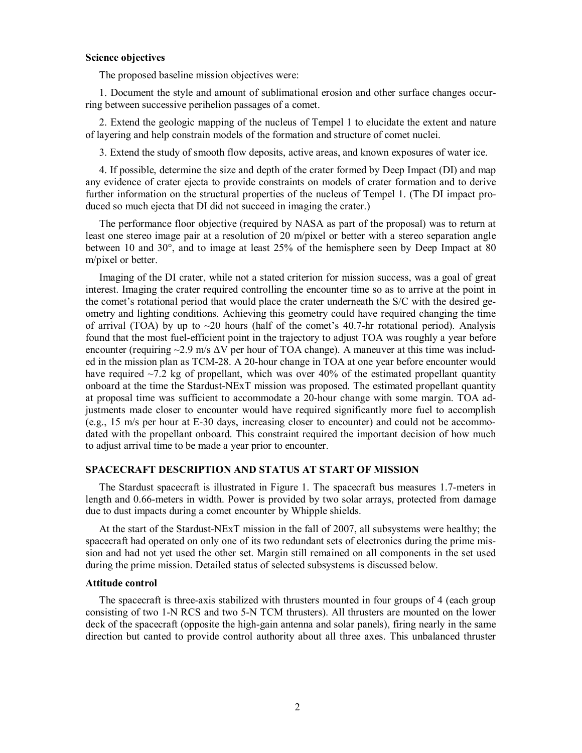## **Science objectives**

The proposed baseline mission objectives were:

1. Document the style and amount of sublimational erosion and other surface changes occurring between successive perihelion passages of a comet.

2. Extend the geologic mapping of the nucleus of Tempel 1 to elucidate the extent and nature of layering and help constrain models of the formation and structure of comet nuclei.

3. Extend the study of smooth flow deposits, active areas, and known exposures of water ice.

4. If possible, determine the size and depth of the crater formed by Deep Impact (DI) and map any evidence of crater ejecta to provide constraints on models of crater formation and to derive further information on the structural properties of the nucleus of Tempel 1. (The DI impact produced so much ejecta that DI did not succeed in imaging the crater.)

The performance floor objective (required by NASA as part of the proposal) was to return at least one stereo image pair at a resolution of 20 m/pixel or better with a stereo separation angle between 10 and 30°, and to image at least 25% of the hemisphere seen by Deep Impact at 80 m/pixel or better.

Imaging of the DI crater, while not a stated criterion for mission success, was a goal of great interest. Imaging the crater required controlling the encounter time so as to arrive at the point in the comet's rotational period that would place the crater underneath the S/C with the desired geometry and lighting conditions. Achieving this geometry could have required changing the time of arrival (TOA) by up to  $\sim$ 20 hours (half of the comet's 40.7-hr rotational period). Analysis found that the most fuel-efficient point in the trajectory to adjust TOA was roughly a year before encounter (requiring  $\sim$  2.9 m/s  $\Delta V$  per hour of TOA change). A maneuver at this time was included in the mission plan as TCM-28. A 20-hour change in TOA at one year before encounter would have required  $\sim$ 7.2 kg of propellant, which was over 40% of the estimated propellant quantity onboard at the time the Stardust-NExT mission was proposed. The estimated propellant quantity at proposal time was sufficient to accommodate a 20-hour change with some margin. TOA adjustments made closer to encounter would have required significantly more fuel to accomplish (e.g., 15 m/s per hour at E-30 days, increasing closer to encounter) and could not be accommodated with the propellant onboard. This constraint required the important decision of how much to adjust arrival time to be made a year prior to encounter.

#### **SPACECRAFT DESCRIPTION AND STATUS AT START OF MISSION**

The Stardust spacecraft is illustrated in Figure 1. The spacecraft bus measures 1.7-meters in length and 0.66-meters in width. Power is provided by two solar arrays, protected from damage due to dust impacts during a comet encounter by Whipple shields.

At the start of the Stardust-NExT mission in the fall of 2007, all subsystems were healthy; the spacecraft had operated on only one of its two redundant sets of electronics during the prime mission and had not yet used the other set. Margin still remained on all components in the set used during the prime mission. Detailed status of selected subsystems is discussed below.

## **Attitude control**

The spacecraft is three-axis stabilized with thrusters mounted in four groups of 4 (each group consisting of two 1-N RCS and two 5-N TCM thrusters). All thrusters are mounted on the lower deck of the spacecraft (opposite the high-gain antenna and solar panels), firing nearly in the same direction but canted to provide control authority about all three axes. This unbalanced thruster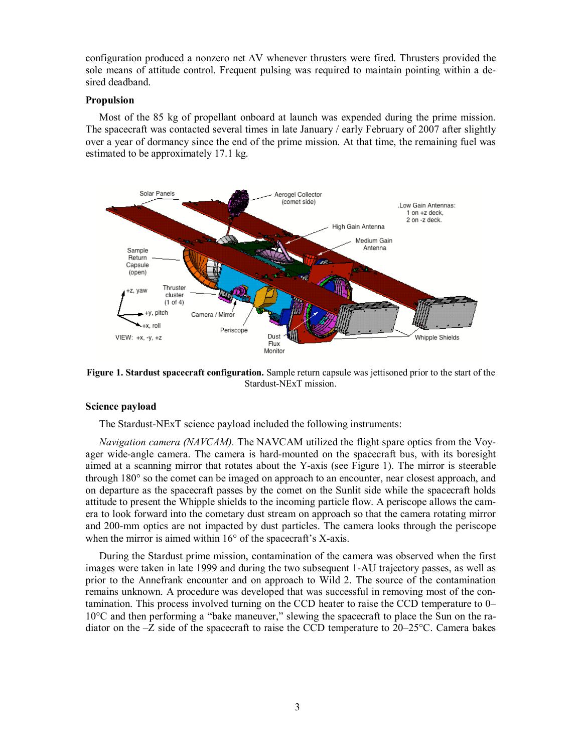configuration produced a nonzero net ∆V whenever thrusters were fired. Thrusters provided the sole means of attitude control. Frequent pulsing was required to maintain pointing within a desired deadband.

## **Propulsion**

Most of the 85 kg of propellant onboard at launch was expended during the prime mission. The spacecraft was contacted several times in late January / early February of 2007 after slightly over a year of dormancy since the end of the prime mission. At that time, the remaining fuel was estimated to be approximately 17.1 kg.



**Figure 1. Stardust spacecraft configuration.** Sample return capsule was jettisoned prior to the start of the Stardust-NExT mission.

## **Science payload**

The Stardust-NExT science payload included the following instruments:

*Navigation camera (NAVCAM).* The NAVCAM utilized the flight spare optics from the Voyager wide-angle camera. The camera is hard-mounted on the spacecraft bus, with its boresight aimed at a scanning mirror that rotates about the Y-axis (see Figure 1). The mirror is steerable through 180° so the comet can be imaged on approach to an encounter, near closest approach, and on departure as the spacecraft passes by the comet on the Sunlit side while the spacecraft holds attitude to present the Whipple shields to the incoming particle flow. A periscope allows the camera to look forward into the cometary dust stream on approach so that the camera rotating mirror and 200-mm optics are not impacted by dust particles. The camera looks through the periscope when the mirror is aimed within 16<sup>°</sup> of the spacecraft's X-axis.

During the Stardust prime mission, contamination of the camera was observed when the first images were taken in late 1999 and during the two subsequent 1-AU trajectory passes, as well as prior to the Annefrank encounter and on approach to Wild 2. The source of the contamination remains unknown. A procedure was developed that was successful in removing most of the contamination. This process involved turning on the CCD heater to raise the CCD temperature to 0– 10°C and then performing a "bake maneuver," slewing the spacecraft to place the Sun on the radiator on the –Z side of the spacecraft to raise the CCD temperature to 20–25°C. Camera bakes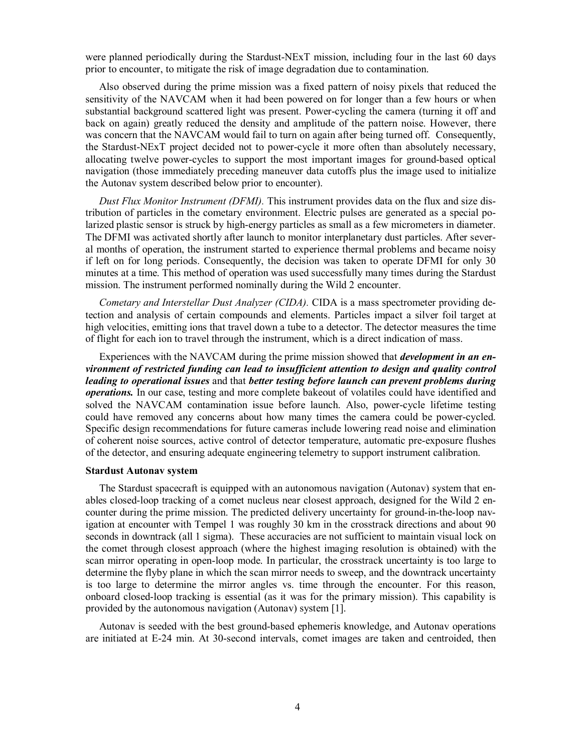were planned periodically during the Stardust-NExT mission, including four in the last 60 days prior to encounter, to mitigate the risk of image degradation due to contamination.

Also observed during the prime mission was a fixed pattern of noisy pixels that reduced the sensitivity of the NAVCAM when it had been powered on for longer than a few hours or when substantial background scattered light was present. Power-cycling the camera (turning it off and back on again) greatly reduced the density and amplitude of the pattern noise. However, there was concern that the NAVCAM would fail to turn on again after being turned off. Consequently, the Stardust-NExT project decided not to power-cycle it more often than absolutely necessary, allocating twelve power-cycles to support the most important images for ground-based optical navigation (those immediately preceding maneuver data cutoffs plus the image used to initialize the Autonav system described below prior to encounter).

*Dust Flux Monitor Instrument (DFMI).* This instrument provides data on the flux and size distribution of particles in the cometary environment. Electric pulses are generated as a special polarized plastic sensor is struck by high-energy particles as small as a few micrometers in diameter. The DFMI was activated shortly after launch to monitor interplanetary dust particles. After several months of operation, the instrument started to experience thermal problems and became noisy if left on for long periods. Consequently, the decision was taken to operate DFMI for only 30 minutes at a time. This method of operation was used successfully many times during the Stardust mission. The instrument performed nominally during the Wild 2 encounter.

*Cometary and Interstellar Dust Analyzer (CIDA).* CIDA is a mass spectrometer providing detection and analysis of certain compounds and elements. Particles impact a silver foil target at high velocities, emitting ions that travel down a tube to a detector. The detector measures the time of flight for each ion to travel through the instrument, which is a direct indication of mass.

Experiences with the NAVCAM during the prime mission showed that *development in an environment of restricted funding can lead to insufficient attention to design and quality control leading to operational issues* and that *better testing before launch can prevent problems during operations.* In our case, testing and more complete bakeout of volatiles could have identified and solved the NAVCAM contamination issue before launch. Also, power-cycle lifetime testing could have removed any concerns about how many times the camera could be power-cycled. Specific design recommendations for future cameras include lowering read noise and elimination of coherent noise sources, active control of detector temperature, automatic pre-exposure flushes of the detector, and ensuring adequate engineering telemetry to support instrument calibration.

## **Stardust Autonav system**

The Stardust spacecraft is equipped with an autonomous navigation (Autonav) system that enables closed-loop tracking of a comet nucleus near closest approach, designed for the Wild 2 encounter during the prime mission. The predicted delivery uncertainty for ground-in-the-loop navigation at encounter with Tempel 1 was roughly 30 km in the crosstrack directions and about 90 seconds in downtrack (all 1 sigma). These accuracies are not sufficient to maintain visual lock on the comet through closest approach (where the highest imaging resolution is obtained) with the scan mirror operating in open-loop mode. In particular, the crosstrack uncertainty is too large to determine the flyby plane in which the scan mirror needs to sweep, and the downtrack uncertainty is too large to determine the mirror angles vs. time through the encounter. For this reason, onboard closed-loop tracking is essential (as it was for the primary mission). This capability is provided by the autonomous navigation (Autonav) system [1].

Autonav is seeded with the best ground-based ephemeris knowledge, and Autonav operations are initiated at E-24 min. At 30-second intervals, comet images are taken and centroided, then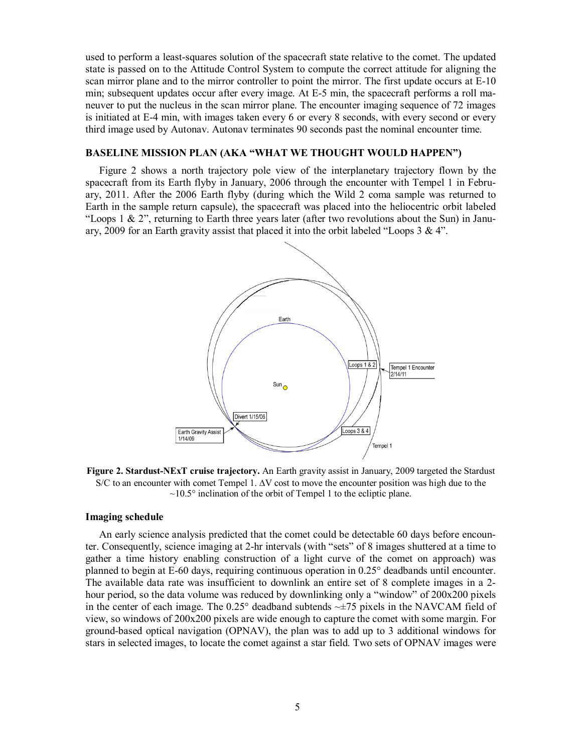used to perform a least-squares solution of the spacecraft state relative to the comet. The updated state is passed on to the Attitude Control System to compute the correct attitude for aligning the scan mirror plane and to the mirror controller to point the mirror. The first update occurs at E-10 min; subsequent updates occur after every image. At E-5 min, the spacecraft performs a roll maneuver to put the nucleus in the scan mirror plane. The encounter imaging sequence of 72 images is initiated at E-4 min, with images taken every 6 or every 8 seconds, with every second or every third image used by Autonav. Autonav terminates 90 seconds past the nominal encounter time.

## **BASELINE MISSION PLAN (AKA "WHAT WE THOUGHT WOULD HAPPEN")**

Figure 2 shows a north trajectory pole view of the interplanetary trajectory flown by the spacecraft from its Earth flyby in January, 2006 through the encounter with Tempel 1 in February, 2011. After the 2006 Earth flyby (during which the Wild 2 coma sample was returned to Earth in the sample return capsule), the spacecraft was placed into the heliocentric orbit labeled "Loops 1  $\&$  2", returning to Earth three years later (after two revolutions about the Sun) in January, 2009 for an Earth gravity assist that placed it into the orbit labeled "Loops  $3 \& 4$ ".



**Figure 2. Stardust-NExT cruise trajectory.** An Earth gravity assist in January, 2009 targeted the Stardust S/C to an encounter with comet Tempel 1. ∆V cost to move the encounter position was high due to the  $\sim$ 10.5° inclination of the orbit of Tempel 1 to the ecliptic plane.

#### **Imaging schedule**

An early science analysis predicted that the comet could be detectable 60 days before encounter. Consequently, science imaging at 2-hr intervals (with "sets" of 8 images shuttered at a time to gather a time history enabling construction of a light curve of the comet on approach) was planned to begin at E-60 days, requiring continuous operation in 0.25° deadbands until encounter. The available data rate was insufficient to downlink an entire set of 8 complete images in a 2 hour period, so the data volume was reduced by downlinking only a "window" of 200x200 pixels in the center of each image. The  $0.25^{\circ}$  deadband subtends  $\sim \pm 75$  pixels in the NAVCAM field of view, so windows of 200x200 pixels are wide enough to capture the comet with some margin. For ground-based optical navigation (OPNAV), the plan was to add up to 3 additional windows for stars in selected images, to locate the comet against a star field. Two sets of OPNAV images were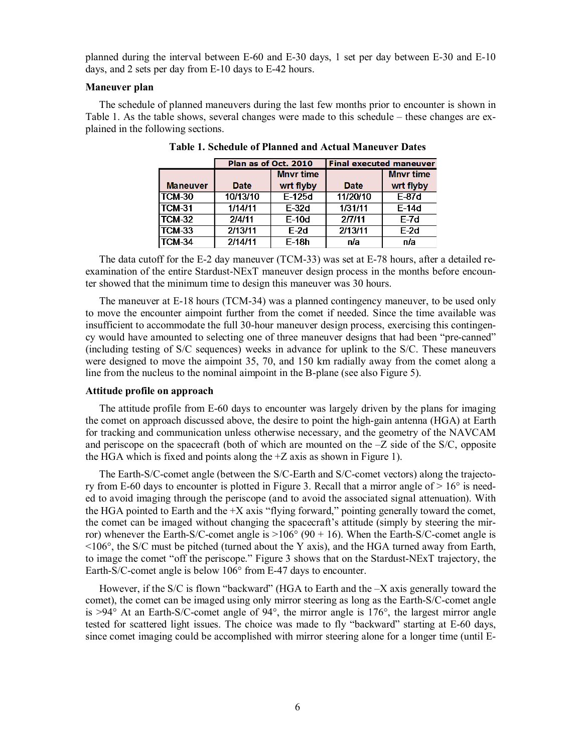planned during the interval between E-60 and E-30 days, 1 set per day between E-30 and E-10 days, and 2 sets per day from E-10 days to E-42 hours.

#### **Maneuver plan**

The schedule of planned maneuvers during the last few months prior to encounter is shown in Table 1. As the table shows, several changes were made to this schedule – these changes are explained in the following sections.

|                 | Plan as of Oct. 2010 |                  | <b>Final executed maneuver</b> |                  |
|-----------------|----------------------|------------------|--------------------------------|------------------|
|                 |                      | <b>Mnyr time</b> |                                | <b>Mnyr time</b> |
| <b>Maneuver</b> | <b>Date</b>          | wrt flyby        | <b>Date</b>                    | wrt flyby        |
| TCM-30          | 10/13/10             | $E-125d$         | 11/20/10                       | $E-87d$          |
| ITCM-31         | 1/14/11              | $F-32d$          | 1/31/11                        | $F-14d$          |
| TCM-32          | 2/4/11               | $E-10d$          | 27/11                          | $E-7d$           |
| TCM-33          | 2/13/11              | $E-2d$           | 2/13/11                        | $E-2d$           |
| <b>TCM-34</b>   | 2/14/11              | $E-18h$          | n/a                            | n/a              |

**Table 1. Schedule of Planned and Actual Maneuver Dates**

The data cutoff for the E-2 day maneuver (TCM-33) was set at E-78 hours, after a detailed reexamination of the entire Stardust-NExT maneuver design process in the months before encounter showed that the minimum time to design this maneuver was 30 hours.

The maneuver at E-18 hours (TCM-34) was a planned contingency maneuver, to be used only to move the encounter aimpoint further from the comet if needed. Since the time available was insufficient to accommodate the full 30-hour maneuver design process, exercising this contingency would have amounted to selecting one of three maneuver designs that had been "pre-canned" (including testing of S/C sequences) weeks in advance for uplink to the S/C. These maneuvers were designed to move the aimpoint 35, 70, and 150 km radially away from the comet along a line from the nucleus to the nominal aimpoint in the B-plane (see also Figure 5).

#### **Attitude profile on approach**

The attitude profile from E-60 days to encounter was largely driven by the plans for imaging the comet on approach discussed above, the desire to point the high-gain antenna (HGA) at Earth for tracking and communication unless otherwise necessary, and the geometry of the NAVCAM and periscope on the spacecraft (both of which are mounted on the –Z side of the S/C, opposite the HGA which is fixed and points along the  $+Z$  axis as shown in Figure 1).

The Earth-S/C-comet angle (between the S/C-Earth and S/C-comet vectors) along the trajectory from E-60 days to encounter is plotted in Figure 3. Recall that a mirror angle of  $> 16^{\circ}$  is needed to avoid imaging through the periscope (and to avoid the associated signal attenuation). With the HGA pointed to Earth and the  $+X$  axis "flying forward," pointing generally toward the comet, the comet can be imaged without changing the spacecraft's attitude (simply by steering the mirror) whenever the Earth-S/C-comet angle is  $>106^{\circ}$  (90 + 16). When the Earth-S/C-comet angle is  $\leq$ 106 $\degree$ , the S/C must be pitched (turned about the Y axis), and the HGA turned away from Earth, to image the comet "off the periscope." Figure 3 shows that on the Stardust-NExT trajectory, the Earth-S/C-comet angle is below 106° from E-47 days to encounter.

However, if the S/C is flown "backward" (HGA to Earth and the –X axis generally toward the comet), the comet can be imaged using only mirror steering as long as the Earth-S/C-comet angle is >94° At an Earth-S/C-comet angle of 94°, the mirror angle is 176°, the largest mirror angle tested for scattered light issues. The choice was made to fly "backward" starting at E-60 days, since comet imaging could be accomplished with mirror steering alone for a longer time (until E-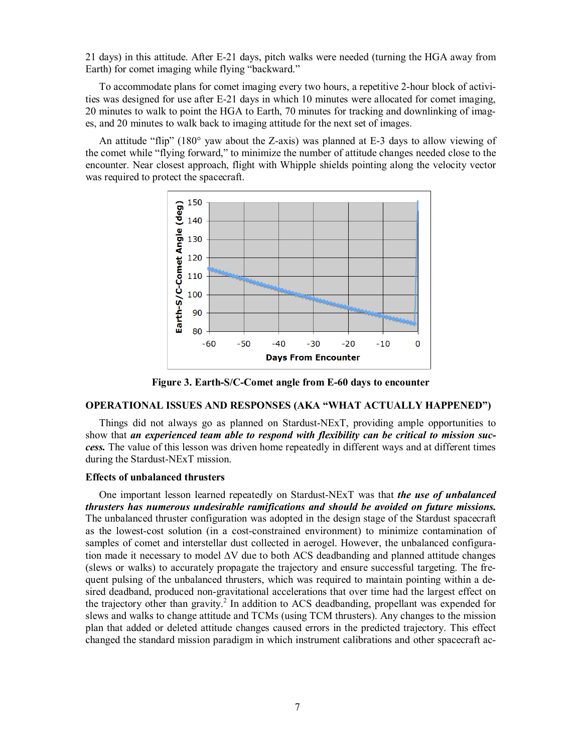21 days) in this attitude. After E-21 days, pitch walks were needed (turning the HGA away from Earth) for comet imaging while flying "backward."

To accommodate plans for comet imaging every two hours, a repetitive 2-hour block of activities was designed for use after E-21 days in which 10 minutes were allocated for comet imaging, 20 minutes to walk to point the HGA to Earth, 70 minutes for tracking and downlinking of images, and 20 minutes to walk back to imaging attitude for the next set of images.

An attitude "flip" (180 $^{\circ}$  yaw about the Z-axis) was planned at E-3 days to allow viewing of the comet while "flying forward," to minimize the number of attitude changes needed close to the encounter. Near closest approach, flight with Whipple shields pointing along the velocity vector was required to protect the spacecraft.



**Figure 3. Earth-S/C-Comet angle from E-60 days to encounter**

#### **OPERATIONAL ISSUES AND RESPONSES (AKA "WHAT ACTUALLY HAPPENED")**

Things did not always go as planned on Stardust-NExT, providing ample opportunities to show that *an experienced team able to respond with flexibility can be critical to mission success.* The value of this lesson was driven home repeatedly in different ways and at different times during the Stardust-NExT mission.

#### **Effects of unbalanced thrusters**

One important lesson learned repeatedly on Stardust-NExT was that *the use of unbalanced thrusters has numerous undesirable ramifications and should be avoided on future missions.* The unbalanced thruster configuration was adopted in the design stage of the Stardust spacecraft as the lowest-cost solution (in a cost-constrained environment) to minimize contamination of samples of comet and interstellar dust collected in aerogel. However, the unbalanced configuration made it necessary to model ∆V due to both ACS deadbanding and planned attitude changes (slews or walks) to accurately propagate the trajectory and ensure successful targeting. The frequent pulsing of the unbalanced thrusters, which was required to maintain pointing within a desired deadband, produced non-gravitational accelerations that over time had the largest effect on the trajectory other than gravity. <sup>2</sup> In addition to ACS deadbanding, propellant was expended for slews and walks to change attitude and TCMs (using TCM thrusters). Any changes to the mission plan that added or deleted attitude changes caused errors in the predicted trajectory. This effect changed the standard mission paradigm in which instrument calibrations and other spacecraft ac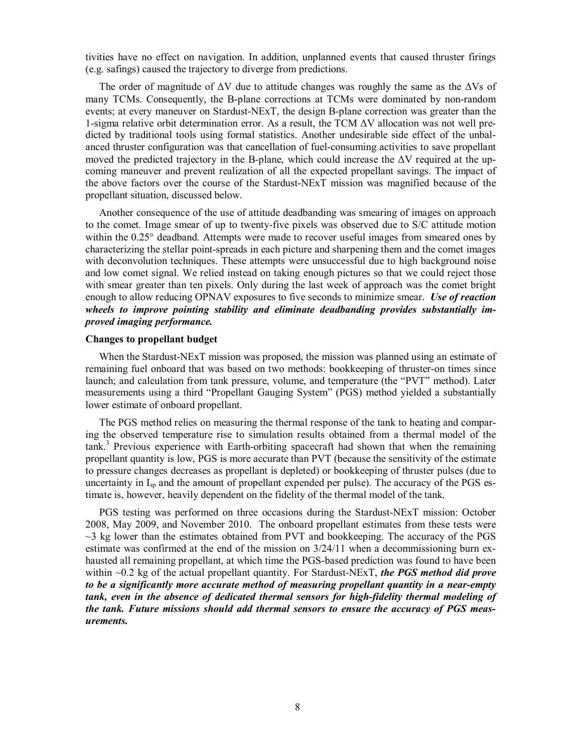tivities have no effect on navigation. In addition, unplanned events that caused thruster firings (e.g. safings) caused the trajectory to diverge from predictions.

The order of magnitude of  $\Delta V$  due to attitude changes was roughly the same as the  $\Delta V$ s of many TCMs. Consequently, the B-plane corrections at TCMs were dominated by non-random events; at every maneuver on Stardust-NExT, the design B-plane correction was greater than the 1-sigma relative orbit determination error. As a result, the TCM  $\Delta V$  allocation was not well predicted by traditional tools using formal statistics. Another undesirable side effect of the unbalanced thruster configuration was that cancellation of fuel-consuming activities to save propellant moved the predicted trajectory in the B-plane, which could increase the  $\Delta V$  required at the upcoming maneuver and prevent realization of all the expected propellant savings. The impact of the above factors over the course of the Stardust-NExT mission was magnified because of the propellant situation, discussed below.

Another consequence of the use of attitude deadbanding was smearing of images on approach to the comet. Image smear of up to twenty-five pixels was observed due to S/C attitude motion within the 0.25° deadband. Attempts were made to recover useful images from smeared ones by characterizing the stellar point-spreads in each picture and sharpening them and the comet images with deconvolution techniques. These attempts were unsuccessful due to high background noise and low comet signal. We relied instead on taking enough pictures so that we could reject those with smear greater than ten pixels. Only during the last week of approach was the comet bright enough to allow reducing OPNAV exposures to five seconds to minimize smear. *Use of reaction wheels to improve pointing stability and eliminate deadbanding provides substantially improved imaging performance.*

#### **Changes to propellant budget**

When the Stardust-NExT mission was proposed, the mission was planned using an estimate of remaining fuel onboard that was based on two methods: bookkeeping of thruster-on times since launch; and calculation from tank pressure, volume, and temperature (the "PVT" method). Later measurements using a third "Propellant Gauging System" (PGS) method yielded a substantially lower estimate of onboard propellant.

The PGS method relies on measuring the thermal response of the tank to heating and comparing the observed temperature rise to simulation results obtained from a thermal model of the tank. <sup>3</sup> Previous experience with Earth-orbiting spacecraft had shown that when the remaining propellant quantity is low, PGS is more accurate than PVT (because the sensitivity of the estimate to pressure changes decreases as propellant is depleted) or bookkeeping of thruster pulses (due to uncertainty in  $I_{sp}$  and the amount of propellant expended per pulse). The accuracy of the PGS estimate is, however, heavily dependent on the fidelity of the thermal model of the tank.

PGS testing was performed on three occasions during the Stardust-NExT mission: October 2008, May 2009, and November 2010. The onboard propellant estimates from these tests were ~3 kg lower than the estimates obtained from PVT and bookkeeping. The accuracy of the PGS estimate was confirmed at the end of the mission on 3/24/11 when a decommissioning burn exhausted all remaining propellant, at which time the PGS-based prediction was found to have been within ~0.2 kg of the actual propellant quantity. For Stardust-NExT, *the PGS method did prove to be a significantly more accurate method of measuring propellant quantity in a near-empty tank, even in the absence of dedicated thermal sensors for high-fidelity thermal modeling of the tank. Future missions should add thermal sensors to ensure the accuracy of PGS measurements.*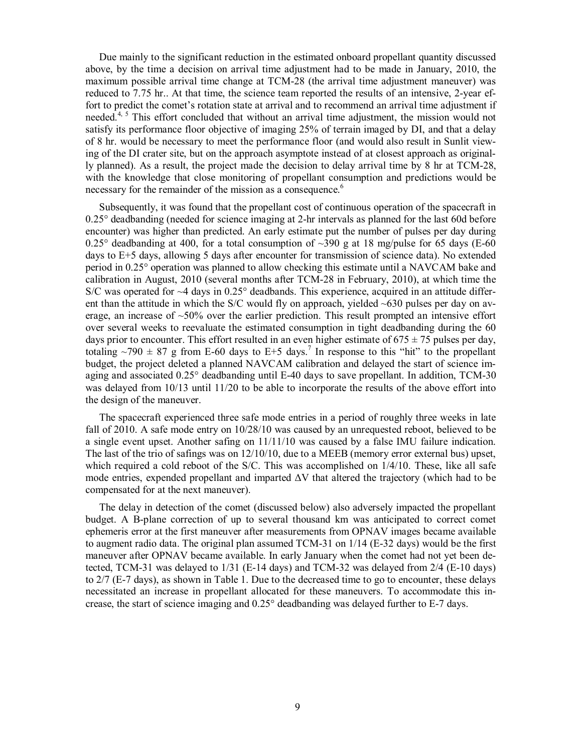Due mainly to the significant reduction in the estimated onboard propellant quantity discussed above, by the time a decision on arrival time adjustment had to be made in January, 2010, the maximum possible arrival time change at TCM-28 (the arrival time adjustment maneuver) was reduced to 7.75 hr.. At that time, the science team reported the results of an intensive, 2-year effort to predict the comet's rotation state at arrival and to recommend an arrival time adjustment if needed.<sup>4, 5</sup> This effort concluded that without an arrival time adjustment, the mission would not satisfy its performance floor objective of imaging 25% of terrain imaged by DI, and that a delay of 8 hr. would be necessary to meet the performance floor (and would also result in Sunlit viewing of the DI crater site, but on the approach asymptote instead of at closest approach as originally planned). As a result, the project made the decision to delay arrival time by 8 hr at TCM-28, with the knowledge that close monitoring of propellant consumption and predictions would be necessary for the remainder of the mission as a consequence. 6

Subsequently, it was found that the propellant cost of continuous operation of the spacecraft in 0.25° deadbanding (needed for science imaging at 2-hr intervals as planned for the last 60d before encounter) was higher than predicted. An early estimate put the number of pulses per day during 0.25° deadbanding at 400, for a total consumption of  $\sim$ 390 g at 18 mg/pulse for 65 days (E-60) days to E+5 days, allowing 5 days after encounter for transmission of science data). No extended period in 0.25° operation was planned to allow checking this estimate until a NAVCAM bake and calibration in August, 2010 (several months after TCM-28 in February, 2010), at which time the  $S/C$  was operated for  $\sim$ 4 days in 0.25 $\degree$  deadbands. This experience, acquired in an attitude different than the attitude in which the S/C would fly on approach, yielded  $\sim 630$  pulses per day on average, an increase of  $\sim 50\%$  over the earlier prediction. This result prompted an intensive effort over several weeks to reevaluate the estimated consumption in tight deadbanding during the 60 days prior to encounter. This effort resulted in an even higher estimate of  $675 \pm 75$  pulses per day, totaling  $\sim$ 790  $\pm$  87 g from E-60 days to E+5 days.<sup>7</sup> In response to this "hit" to the propellant budget, the project deleted a planned NAVCAM calibration and delayed the start of science imaging and associated 0.25° deadbanding until E-40 days to save propellant. In addition, TCM-30 was delayed from 10/13 until 11/20 to be able to incorporate the results of the above effort into the design of the maneuver.

The spacecraft experienced three safe mode entries in a period of roughly three weeks in late fall of 2010. A safe mode entry on 10/28/10 was caused by an unrequested reboot, believed to be a single event upset. Another safing on 11/11/10 was caused by a false IMU failure indication. The last of the trio of safings was on 12/10/10, due to a MEEB (memory error external bus) upset, which required a cold reboot of the S/C. This was accomplished on  $1/4/10$ . These, like all safe mode entries, expended propellant and imparted  $\Delta V$  that altered the trajectory (which had to be compensated for at the next maneuver).

The delay in detection of the comet (discussed below) also adversely impacted the propellant budget. A B-plane correction of up to several thousand km was anticipated to correct comet ephemeris error at the first maneuver after measurements from OPNAV images became available to augment radio data. The original plan assumed TCM-31 on 1/14 (E-32 days) would be the first maneuver after OPNAV became available. In early January when the comet had not yet been detected, TCM-31 was delayed to 1/31 (E-14 days) and TCM-32 was delayed from 2/4 (E-10 days) to 2/7 (E-7 days), as shown in Table 1. Due to the decreased time to go to encounter, these delays necessitated an increase in propellant allocated for these maneuvers. To accommodate this increase, the start of science imaging and 0.25° deadbanding was delayed further to E-7 days.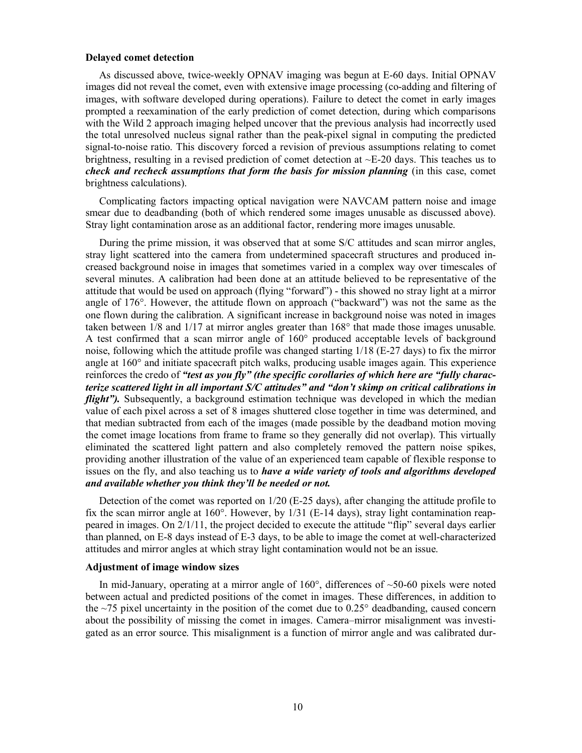#### **Delayed comet detection**

As discussed above, twice-weekly OPNAV imaging was begun at E-60 days. Initial OPNAV images did not reveal the comet, even with extensive image processing (co-adding and filtering of images, with software developed during operations). Failure to detect the comet in early images prompted a reexamination of the early prediction of comet detection, during which comparisons with the Wild 2 approach imaging helped uncover that the previous analysis had incorrectly used the total unresolved nucleus signal rather than the peak-pixel signal in computing the predicted signal-to-noise ratio. This discovery forced a revision of previous assumptions relating to comet brightness, resulting in a revised prediction of comet detection at  $\sim$ E-20 days. This teaches us to *check and recheck assumptions that form the basis for mission planning* (in this case, comet brightness calculations).

Complicating factors impacting optical navigation were NAVCAM pattern noise and image smear due to deadbanding (both of which rendered some images unusable as discussed above). Stray light contamination arose as an additional factor, rendering more images unusable.

During the prime mission, it was observed that at some S/C attitudes and scan mirror angles, stray light scattered into the camera from undetermined spacecraft structures and produced increased background noise in images that sometimes varied in a complex way over timescales of several minutes. A calibration had been done at an attitude believed to be representative of the attitude that would be used on approach (flying "forward") - this showed no stray light at a mirror angle of 176°. However, the attitude flown on approach ("backward") was not the same as the one flown during the calibration. A significant increase in background noise was noted in images taken between 1/8 and 1/17 at mirror angles greater than 168° that made those images unusable. A test confirmed that a scan mirror angle of 160° produced acceptable levels of background noise, following which the attitude profile was changed starting 1/18 (E-27 days) to fix the mirror angle at 160° and initiate spacecraft pitch walks, producing usable images again. This experience reinforces the credo of *"test as you fly" (the specific corollaries of which here are "fully characterize scattered light in all important S/C attitudes" and "don't skimp on critical calibrations in flight"*). Subsequently, a background estimation technique was developed in which the median value of each pixel across a set of 8 images shuttered close together in time was determined, and that median subtracted from each of the images (made possible by the deadband motion moving the comet image locations from frame to frame so they generally did not overlap). This virtually eliminated the scattered light pattern and also completely removed the pattern noise spikes, providing another illustration of the value of an experienced team capable of flexible response to issues on the fly, and also teaching us to *have a wide variety of tools and algorithms developed and available whether you think they'll be needed or not.*

Detection of the comet was reported on 1/20 (E-25 days), after changing the attitude profile to fix the scan mirror angle at 160°. However, by 1/31 (E-14 days), stray light contamination reappeared in images. On 2/1/11, the project decided to execute the attitude "flip" several days earlier than planned, on E-8 days instead of E-3 days, to be able to image the comet at well-characterized attitudes and mirror angles at which stray light contamination would not be an issue.

## **Adjustment of image window sizes**

In mid-January, operating at a mirror angle of  $160^{\circ}$ , differences of  $\sim 50{\text -}60$  pixels were noted between actual and predicted positions of the comet in images. These differences, in addition to the  $\sim$ 75 pixel uncertainty in the position of the comet due to 0.25 $^{\circ}$  deadbanding, caused concern about the possibility of missing the comet in images. Camera–mirror misalignment was investigated as an error source. This misalignment is a function of mirror angle and was calibrated dur-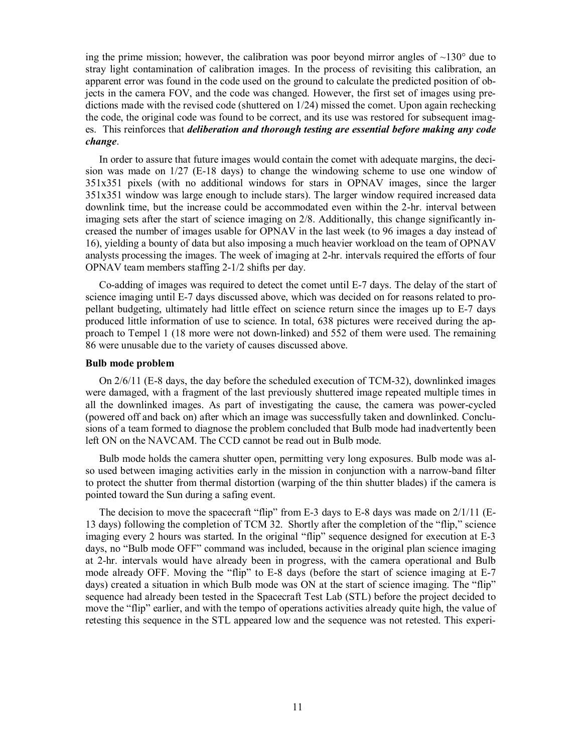ing the prime mission; however, the calibration was poor beyond mirror angles of  $\sim$ 130 $^{\circ}$  due to stray light contamination of calibration images. In the process of revisiting this calibration, an apparent error was found in the code used on the ground to calculate the predicted position of objects in the camera FOV, and the code was changed. However, the first set of images using predictions made with the revised code (shuttered on 1/24) missed the comet. Upon again rechecking the code, the original code was found to be correct, and its use was restored for subsequent images. This reinforces that *deliberation and thorough testing are essential before making any code change*.

In order to assure that future images would contain the comet with adequate margins, the decision was made on 1/27 (E-18 days) to change the windowing scheme to use one window of 351x351 pixels (with no additional windows for stars in OPNAV images, since the larger 351x351 window was large enough to include stars). The larger window required increased data downlink time, but the increase could be accommodated even within the 2-hr. interval between imaging sets after the start of science imaging on 2/8. Additionally, this change significantly increased the number of images usable for OPNAV in the last week (to 96 images a day instead of 16), yielding a bounty of data but also imposing a much heavier workload on the team of OPNAV analysts processing the images. The week of imaging at 2-hr. intervals required the efforts of four OPNAV team members staffing 2-1/2 shifts per day.

Co-adding of images was required to detect the comet until E-7 days. The delay of the start of science imaging until E-7 days discussed above, which was decided on for reasons related to propellant budgeting, ultimately had little effect on science return since the images up to E-7 days produced little information of use to science. In total, 638 pictures were received during the approach to Tempel 1 (18 more were not down-linked) and 552 of them were used. The remaining 86 were unusable due to the variety of causes discussed above.

#### **Bulb mode problem**

On 2/6/11 (E-8 days, the day before the scheduled execution of TCM-32), downlinked images were damaged, with a fragment of the last previously shuttered image repeated multiple times in all the downlinked images. As part of investigating the cause, the camera was power-cycled (powered off and back on) after which an image was successfully taken and downlinked. Conclusions of a team formed to diagnose the problem concluded that Bulb mode had inadvertently been left ON on the NAVCAM. The CCD cannot be read out in Bulb mode.

Bulb mode holds the camera shutter open, permitting very long exposures. Bulb mode was also used between imaging activities early in the mission in conjunction with a narrow-band filter to protect the shutter from thermal distortion (warping of the thin shutter blades) if the camera is pointed toward the Sun during a safing event.

The decision to move the spacecraft "flip" from E-3 days to E-8 days was made on  $2/1/11$  (E-13 days) following the completion of TCM 32. Shortly after the completion of the "flip," science imaging every 2 hours was started. In the original "flip" sequence designed for execution at E-3 days, no "Bulb mode OFF" command was included, because in the original plan science imaging at 2-hr. intervals would have already been in progress, with the camera operational and Bulb mode already OFF. Moving the "flip" to E-8 days (before the start of science imaging at E-7 days) created a situation in which Bulb mode was ON at the start of science imaging. The "flip" sequence had already been tested in the Spacecraft Test Lab (STL) before the project decided to move the "flip" earlier, and with the tempo of operations activities already quite high, the value of retesting this sequence in the STL appeared low and the sequence was not retested. This experi-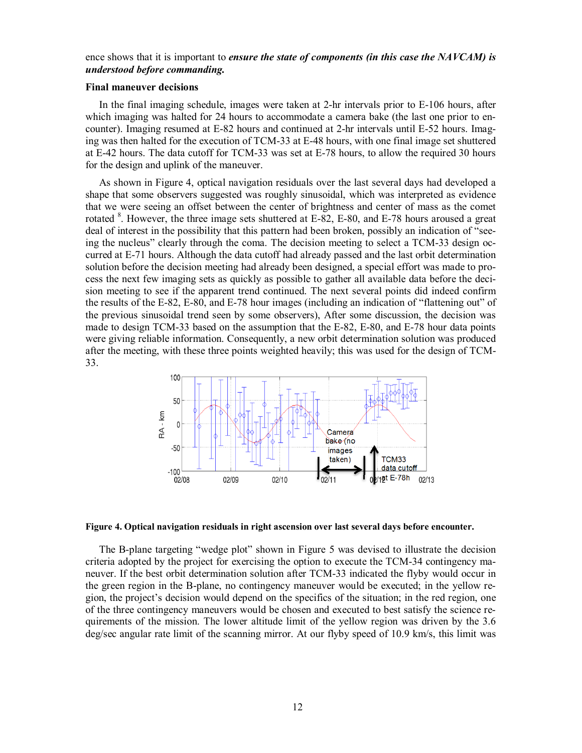## ence shows that it is important to *ensure the state of components (in this case the NAVCAM) is understood before commanding.*

#### **Final maneuver decisions**

In the final imaging schedule, images were taken at 2-hr intervals prior to E-106 hours, after which imaging was halted for 24 hours to accommodate a camera bake (the last one prior to encounter). Imaging resumed at E-82 hours and continued at 2-hr intervals until E-52 hours. Imaging was then halted for the execution of TCM-33 at E-48 hours, with one final image set shuttered at E-42 hours. The data cutoff for TCM-33 was set at E-78 hours, to allow the required 30 hours for the design and uplink of the maneuver.

As shown in Figure 4, optical navigation residuals over the last several days had developed a shape that some observers suggested was roughly sinusoidal, which was interpreted as evidence that we were seeing an offset between the center of brightness and center of mass as the comet rotated <sup>8</sup>. However, the three image sets shuttered at E-82, E-80, and E-78 hours aroused a great deal of interest in the possibility that this pattern had been broken, possibly an indication of "seeing the nucleus" clearly through the coma. The decision meeting to select a TCM-33 design occurred at E-71 hours. Although the data cutoff had already passed and the last orbit determination solution before the decision meeting had already been designed, a special effort was made to process the next few imaging sets as quickly as possible to gather all available data before the decision meeting to see if the apparent trend continued. The next several points did indeed confirm the results of the E-82, E-80, and E-78 hour images (including an indication of "flattening out" of the previous sinusoidal trend seen by some observers), After some discussion, the decision was made to design TCM-33 based on the assumption that the E-82, E-80, and E-78 hour data points were giving reliable information. Consequently, a new orbit determination solution was produced after the meeting, with these three points weighted heavily; this was used for the design of TCM-33.



#### **Figure 4. Optical navigation residuals in right ascension over last several days before encounter.**

The B-plane targeting "wedge plot" shown in Figure 5 was devised to illustrate the decision criteria adopted by the project for exercising the option to execute the TCM-34 contingency maneuver. If the best orbit determination solution after TCM-33 indicated the flyby would occur in the green region in the B-plane, no contingency maneuver would be executed; in the yellow region, the project's decision would depend on the specifics of the situation; in the red region, one of the three contingency maneuvers would be chosen and executed to best satisfy the science requirements of the mission. The lower altitude limit of the yellow region was driven by the 3.6 deg/sec angular rate limit of the scanning mirror. At our flyby speed of 10.9 km/s, this limit was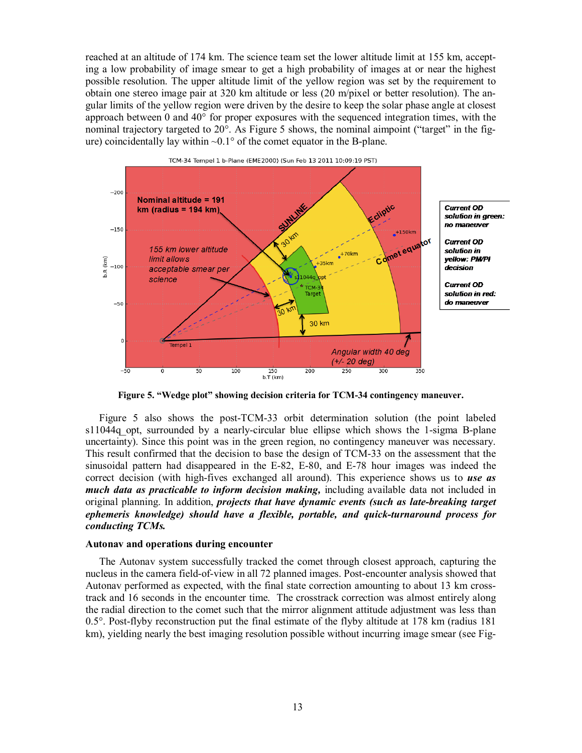reached at an altitude of 174 km. The science team set the lower altitude limit at 155 km, accepting a low probability of image smear to get a high probability of images at or near the highest possible resolution. The upper altitude limit of the yellow region was set by the requirement to obtain one stereo image pair at 320 km altitude or less (20 m/pixel or better resolution). The angular limits of the yellow region were driven by the desire to keep the solar phase angle at closest approach between 0 and 40° for proper exposures with the sequenced integration times, with the nominal trajectory targeted to 20<sup>o</sup>. As Figure 5 shows, the nominal aimpoint ("target" in the figure) coincidentally lay within  $\sim 0.1^{\circ}$  of the comet equator in the B-plane.



**Figure 5. "Wedge plot" showing decision criteria for TCM-34 contingency maneuver.**

Figure 5 also shows the post-TCM-33 orbit determination solution (the point labeled s11044q opt, surrounded by a nearly-circular blue ellipse which shows the 1-sigma B-plane uncertainty). Since this point was in the green region, no contingency maneuver was necessary. This result confirmed that the decision to base the design of TCM-33 on the assessment that the sinusoidal pattern had disappeared in the E-82, E-80, and E-78 hour images was indeed the correct decision (with high-fives exchanged all around). This experience shows us to *use as much data as practicable to inform decision making,* including available data not included in original planning. In addition, *projects that have dynamic events (such as late-breaking target ephemeris knowledge) should have a flexible, portable, and quick-turnaround process for conducting TCMs.*

#### **Autonav and operations during encounter**

The Autonav system successfully tracked the comet through closest approach, capturing the nucleus in the camera field-of-view in all 72 planned images. Post-encounter analysis showed that Autonav performed as expected, with the final state correction amounting to about 13 km crosstrack and 16 seconds in the encounter time. The crosstrack correction was almost entirely along the radial direction to the comet such that the mirror alignment attitude adjustment was less than 0.5°. Post-flyby reconstruction put the final estimate of the flyby altitude at 178 km (radius 181 km), yielding nearly the best imaging resolution possible without incurring image smear (see Fig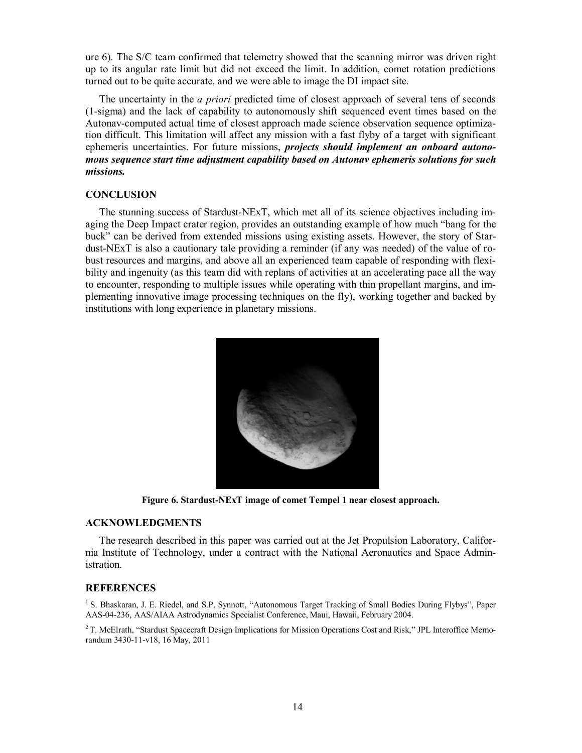ure 6). The S/C team confirmed that telemetry showed that the scanning mirror was driven right up to its angular rate limit but did not exceed the limit. In addition, comet rotation predictions turned out to be quite accurate, and we were able to image the DI impact site.

The uncertainty in the *a priori* predicted time of closest approach of several tens of seconds (1-sigma) and the lack of capability to autonomously shift sequenced event times based on the Autonav-computed actual time of closest approach made science observation sequence optimization difficult. This limitation will affect any mission with a fast flyby of a target with significant ephemeris uncertainties. For future missions, *projects should implement an onboard autonomous sequence start time adjustment capability based on Autonav ephemeris solutions for such missions.*

## **CONCLUSION**

The stunning success of Stardust-NExT, which met all of its science objectives including imaging the Deep Impact crater region, provides an outstanding example of how much "bang for the buck" can be derived from extended missions using existing assets. However, the story of Stardust-NExT is also a cautionary tale providing a reminder (if any was needed) of the value of robust resources and margins, and above all an experienced team capable of responding with flexibility and ingenuity (as this team did with replans of activities at an accelerating pace all the way to encounter, responding to multiple issues while operating with thin propellant margins, and implementing innovative image processing techniques on the fly), working together and backed by institutions with long experience in planetary missions.



**Figure 6. Stardust-NExT image of comet Tempel 1 near closest approach.** 

## **ACKNOWLEDGMENTS**

The research described in this paper was carried out at the Jet Propulsion Laboratory, California Institute of Technology, under a contract with the National Aeronautics and Space Administration.

#### **REFERENCES**

<sup>1</sup> S. Bhaskaran, J. E. Riedel, and S.P. Synnott, "Autonomous Target Tracking of Small Bodies During Flybys", Paper AAS-04-236, AAS/AIAA Astrodynamics Specialist Conference, Maui, Hawaii, February 2004.

<sup>2</sup> T. McElrath, "Stardust Spacecraft Design Implications for Mission Operations Cost and Risk," JPL Interoffice Memorandum 3430-11-v18, 16 May, 2011